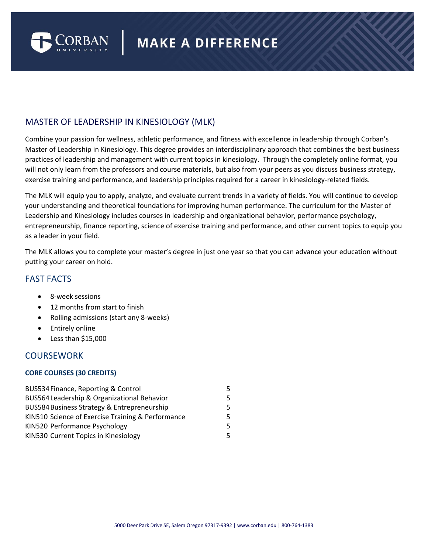

# MASTER OF LEADERSHIP IN KINESIOLOGY (MLK)

Combine your passion for wellness, athletic performance, and fitness with excellence in leadership through Corban's Master of Leadership in Kinesiology. This degree provides an interdisciplinary approach that combines the best business practices of leadership and management with current topics in kinesiology. Through the completely online format, you will not only learn from the professors and course materials, but also from your peers as you discuss business strategy, exercise training and performance, and leadership principles required for a career in kinesiology-related fields.

The MLK will equip you to apply, analyze, and evaluate current trends in a variety of fields. You will continue to develop your understanding and theoretical foundations for improving human performance. The curriculum for the Master of Leadership and Kinesiology includes courses in leadership and organizational behavior, performance psychology, entrepreneurship, finance reporting, science of exercise training and performance, and other current topics to equip you as a leader in your field.

The MLK allows you to complete your master's degree in just one year so that you can advance your education without putting your career on hold.

## FAST FACTS

- 8-week sessions
- 12 months from start to finish
- Rolling admissions (start any 8-weeks)
- Entirely online
- Less than \$15,000

## **COURSEWORK**

## **CORE COURSES (30 CREDITS)**

| BUS534 Finance, Reporting & Control               |    |
|---------------------------------------------------|----|
| BUS564 Leadership & Organizational Behavior       | 5. |
| BUS584 Business Strategy & Entrepreneurship       | 5. |
| KIN510 Science of Exercise Training & Performance | 5. |
| KIN520 Performance Psychology                     | 5. |
| KIN530 Current Topics in Kinesiology              | 5. |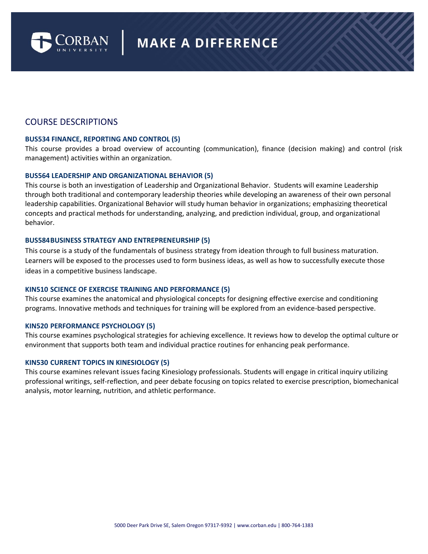

# **MAKE A DIFFERENCE**

## COURSE DESCRIPTIONS

### **BUS534 FINANCE, REPORTING AND CONTROL (5)**

This course provides a broad overview of accounting (communication), finance (decision making) and control (risk management) activities within an organization.

#### **BUS564 LEADERSHIP AND ORGANIZATIONAL BEHAVIOR (5)**

This course is both an investigation of Leadership and Organizational Behavior. Students will examine Leadership through both traditional and contemporary leadership theories while developing an awareness of their own personal leadership capabilities. Organizational Behavior will study human behavior in organizations; emphasizing theoretical concepts and practical methods for understanding, analyzing, and prediction individual, group, and organizational behavior.

#### **BUS584BUSINESS STRATEGY AND ENTREPRENEURSHIP (5)**

This course is a study of the fundamentals of business strategy from ideation through to full business maturation. Learners will be exposed to the processes used to form business ideas, as well as how to successfully execute those ideas in a competitive business landscape.

#### **KIN510 SCIENCE OF EXERCISE TRAINING AND PERFORMANCE (5)**

This course examines the anatomical and physiological concepts for designing effective exercise and conditioning programs. Innovative methods and techniques for training will be explored from an evidence-based perspective.

#### **KIN520 PERFORMANCE PSYCHOLOGY (5)**

This course examines psychological strategies for achieving excellence. It reviews how to develop the optimal culture or environment that supports both team and individual practice routines for enhancing peak performance.

#### **KIN530 CURRENT TOPICS IN KINESIOLOGY (5)**

This course examines relevant issues facing Kinesiology professionals. Students will engage in critical inquiry utilizing professional writings, self-reflection, and peer debate focusing on topics related to exercise prescription, biomechanical analysis, motor learning, nutrition, and athletic performance.